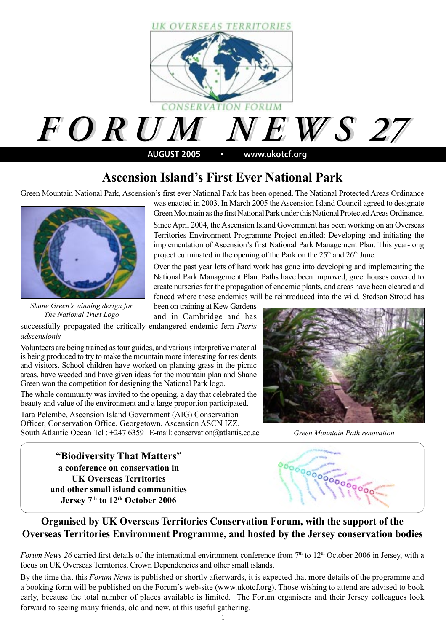

### **Ascension Island's First Ever National Park**

Green Mountain National Park, Ascension's first ever National Park has been opened. The National Protected Areas Ordinance



*Shane Green's winning design for The National Trust Logo*

was enacted in 2003. In March 2005 the Ascension Island Council agreed to designate Green Mountain as the first National Park under this National Protected Areas Ordinance.

Since April 2004, the Ascension Island Government has been working on an Overseas Territories Environment Programme Project entitled: Developing and initiating the implementation of Ascension's first National Park Management Plan. This year-long project culminated in the opening of the Park on the  $25<sup>th</sup>$  and  $26<sup>th</sup>$  June.

Over the past year lots of hard work has gone into developing and implementing the National Park Management Plan. Paths have been improved, greenhouses covered to create nurseries for the propagation of endemic plants, and areas have been cleared and fenced where these endemics will be reintroduced into the wild. Stedson Stroud has

been on training at Kew Gardens and in Cambridge and has

successfully propagated the critically endangered endemic fern *Pteris adscensionis*

Volunteers are being trained as tour guides, and various interpretive material is being produced to try to make the mountain more interesting for residents and visitors. School children have worked on planting grass in the picnic areas, have weeded and have given ideas for the mountain plan and Shane Green won the competition for designing the National Park logo.

The whole community was invited to the opening, a day that celebrated the beauty and value of the environment and a large proportion participated.

Tara Pelembe, Ascension Island Government (AIG) Conservation Officer, Conservation Office, Georgetown, Ascension ASCN IZZ, South Atlantic Ocean Tel : +247 6359 E-mail: conservation@atlantis.co.ac



*Green Mountain Path renovation*

**"Biodiversity That Matters" a conference on conservation in UK Overseas Territories and other small island communities** Jersey 7<sup>th</sup> to 12<sup>th</sup> October 2006



### **Organised by UK Overseas Territories Conservation Forum, with the support of the Overseas Territories Environment Programme, and hosted by the Jersey conservation bodies**

*Forum News 26* carried first details of the international environment conference from 7<sup>th</sup> to 12<sup>th</sup> October 2006 in Jersey, with a focus on UK Overseas Territories, Crown Dependencies and other small islands.

By the time that this *Forum News* is published or shortly afterwards, it is expected that more details of the programme and a booking form will be published on the Forum's web-site (www.ukotcf.org). Those wishing to attend are advised to book early, because the total number of places available is limited. The Forum organisers and their Jersey colleagues look forward to seeing many friends, old and new, at this useful gathering.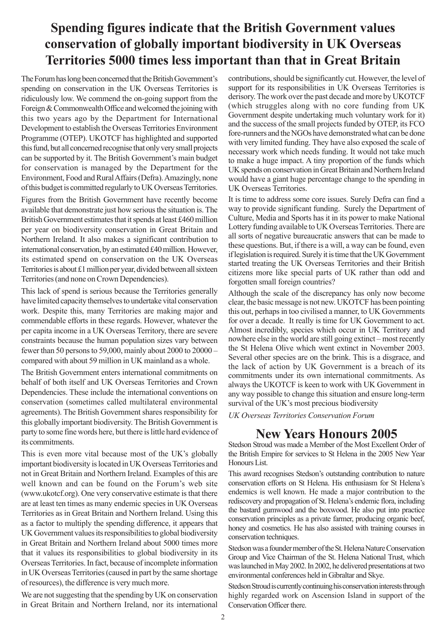### **Spending figures indicate that the British Government values conservation of globally important biodiversity in UK Overseas Territories 5000 times less important than that in Great Britain**

The Forum has long been concerned that the British Government's spending on conservation in the UK Overseas Territories is ridiculously low. We commend the on-going support from the Foreign & Commonwealth Office and welcomed the joining with this two years ago by the Department for International Development to establish the Overseas Territories Environment Programme (OTEP). UKOTCF has highlighted and supported this fund, but all concerned recognise that only very small projects can be supported by it. The British Government's main budget for conservation is managed by the Department for the Environment, Food and Rural Affairs (Defra). Amazingly, none of this budget is committed regularly to UK Overseas Territories.

Figures from the British Government have recently become available that demonstrate just how serious the situation is. The British Government estimates that it spends at least £460 million per year on biodiversity conservation in Great Britain and Northern Ireland. It also makes a significant contribution to international conservation, by an estimated £40 million. However, its estimated spend on conservation on the UK Overseas Territories is about £1 million per year, divided between all sixteen Territories (and none on Crown Dependencies).

This lack of spend is serious because the Territories generally have limited capacity themselves to undertake vital conservation work. Despite this, many Territories are making major and commendable efforts in these regards. However, whatever the per capita income in a UK Overseas Territory, there are severe constraints because the human population sizes vary between fewer than 50 persons to 59,000, mainly about 2000 to 20000 – compared with about 59 million in UK mainland as a whole.

The British Government enters international commitments on behalf of both itself and UK Overseas Territories and Crown Dependencies. These include the international conventions on conservation (sometimes called multilateral environmental agreements). The British Government shares responsibility for this globally important biodiversity. The British Government is party to some fine words here, but there is little hard evidence of its commitments.

This is even more vital because most of the UK's globally important biodiversity is located in UK Overseas Territories and not in Great Britain and Northern Ireland. Examples of this are well known and can be found on the Forum's web site (www.ukotcf.org). One very conservative estimate is that there are at least ten times as many endemic species in UK Overseas Territories as in Great Britain and Northern Ireland. Using this as a factor to multiply the spending difference, it appears that UK Government values its responsibilities to global biodiversity in Great Britain and Northern Ireland about 5000 times more that it values its responsibilities to global biodiversity in its Overseas Territories. In fact, because of incomplete information in UK Overseas Territories (caused in part by the same shortage of resources), the difference is very much more.

We are not suggesting that the spending by UK on conservation in Great Britain and Northern Ireland, nor its international

contributions, should be significantly cut. However, the level of support for its responsibilities in UK Overseas Territories is derisory. The work over the past decade and more by UKOTCF (which struggles along with no core funding from UK Government despite undertaking much voluntary work for it) and the success of the small projects funded by OTEP, its FCO fore-runners and the NGOs have demonstrated what can be done with very limited funding. They have also exposed the scale of necessary work which needs funding. It would not take much to make a huge impact. A tiny proportion of the funds which UK spends on conservation in Great Britain and Northern Ireland would have a giant huge percentage change to the spending in UK Overseas Territories.

It is time to address some core issues. Surely Defra can find a way to provide significant funding. Surely the Department of Culture, Media and Sports has it in its power to make National Lottery funding available to UK Overseas Territories. There are all sorts of negative bureaucratic answers that can be made to these questions. But, if there is a will, a way can be found, even if legislation is required. Surely it is time that the UK Government started treating the UK Overseas Territories and their British citizens more like special parts of UK rather than odd and forgotten small foreign countries?

Although the scale of the discrepancy has only now become clear, the basic message is not new. UKOTCF has been pointing this out, perhaps in too civilised a manner, to UK Governments for over a decade. It really is time for UK Government to act. Almost incredibly, species which occur in UK Territory and nowhere else in the world are still going extinct – most recently the St Helena Olive which went extinct in November 2003. Several other species are on the brink. This is a disgrace, and the lack of action by UK Government is a breach of its commitments under its own international commitments. As always the UKOTCF is keen to work with UK Government in any way possible to change this situation and ensure long-term survival of the UK's most precious biodiversity

*UK Overseas Territories Conservation Forum*

### **New Years Honours 2005**

Stedson Stroud was made a Member of the Most Excellent Order of the British Empire for services to St Helena in the 2005 New Year Honours List.

This award recognises Stedson's outstanding contribution to nature conservation efforts on St Helena. His enthusiasm for St Helena's endemics is well known. He made a major contribution to the rediscovery and propagation of St. Helena's endemic flora, including the bastard gumwood and the boxwood. He also put into practice conservation principles as a private farmer, producing organic beef, honey and cosmetics. He has also assisted with training courses in conservation techniques.

Stedson was a founder member of the St. Helena Nature Conservation Group and Vice Chairman of the St. Helena National Trust, which was launched in May 2002. In 2002, he delivered presentations at two environmental conferences held in Gibraltar and Skye.

Stedson Stroud is currently continuing his conservation interests through highly regarded work on Ascension Island in support of the Conservation Officer there.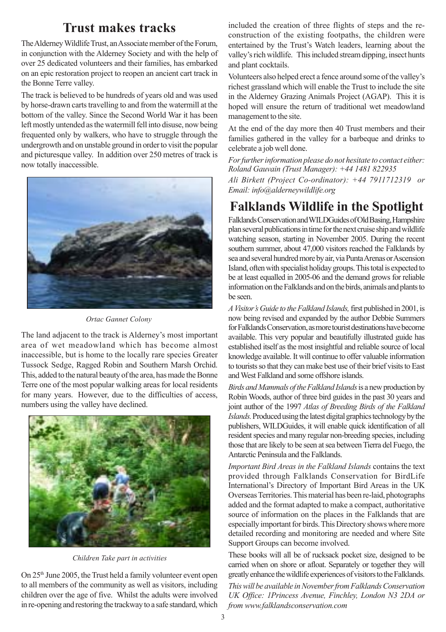### **Trust makes tracks**

The Alderney Wildlife Trust, an Associate member of the Forum, in conjunction with the Alderney Society and with the help of over 25 dedicated volunteers and their families, has embarked on an epic restoration project to reopen an ancient cart track in the Bonne Terre valley.

The track is believed to be hundreds of years old and was used by horse-drawn carts travelling to and from the watermill at the bottom of the valley. Since the Second World War it has been left mostly untended as the watermill fell into disuse, now being frequented only by walkers, who have to struggle through the undergrowth and on unstable ground in order to visit the popular and picturesque valley. In addition over 250 metres of track is now totally inaccessible.



*Ortac Gannet Colony*

The land adjacent to the track is Alderney's most important area of wet meadowland which has become almost inaccessible, but is home to the locally rare species Greater Tussock Sedge, Ragged Robin and Southern Marsh Orchid. This, added to the natural beauty of the area, has made the Bonne Terre one of the most popular walking areas for local residents for many years. However, due to the difficulties of access, numbers using the valley have declined.



*Children Take part in activities*

On 25th June 2005, the Trust held a family volunteer event open to all members of the community as well as visitors, including children over the age of five. Whilst the adults were involved in re-opening and restoring the trackway to a safe standard, which

included the creation of three flights of steps and the reconstruction of the existing footpaths, the children were entertained by the Trust's Watch leaders, learning about the valley's rich wildlife. This included stream dipping, insect hunts and plant cocktails.

Volunteers also helped erect a fence around some of the valley's richest grassland which will enable the Trust to include the site in the Alderney Grazing Animals Project (AGAP). This it is hoped will ensure the return of traditional wet meadowland management to the site.

At the end of the day more then 40 Trust members and their families gathered in the valley for a barbeque and drinks to celebrate a job well done.

*For further information please do not hesitate to contact either: Roland Gauvain (Trust Manager): +44 1481 822935*

*Ali Birkett (Project Co-ordinator): +44 7911712319 or Email: info@alderneywildlife.org*

### **Falklands Wildlife in the Spotlight**

Falklands Conservation and WILDGuides of Old Basing, Hampshire plan several publications in time for the next cruise ship and wildlife watching season, starting in November 2005. During the recent southern summer, about 47,000 visitors reached the Falklands by sea and several hundred more by air, via Punta Arenas or Ascension Island, often with specialist holiday groups. This total is expected to be at least equalled in 2005-06 and the demand grows for reliable information on the Falklands and on the birds, animals and plants to be seen.

*A Visitor's Guide to the Falkland Islands,* first published in 2001, is now being revised and expanded by the author Debbie Summers for Falklands Conservation, as more tourist destinations have become available. This very popular and beautifully illustrated guide has established itself as the most insightful and reliable source of local knowledge available. It will continue to offer valuable information to tourists so that they can make best use of their brief visits to East and West Falkland and some offshore islands.

*Birds and Mammals of the Falkland Islands* is a new production by Robin Woods, author of three bird guides in the past 30 years and joint author of the 1997 *Atlas of Breeding Birds of the Falkland Islands.* Produced using the latest digital graphics technology by the publishers, WILDGuides, it will enable quick identification of all resident species and many regular non-breeding species, including those that are likely to be seen at sea between Tierra del Fuego, the Antarctic Peninsula and the Falklands.

*Important Bird Areas in the Falkland Islands* contains the text provided through Falklands Conservation for BirdLife International's Directory of Important Bird Areas in the UK Overseas Territories. This material has been re-laid, photographs added and the format adapted to make a compact, authoritative source of information on the places in the Falklands that are especially important for birds. This Directory shows where more detailed recording and monitoring are needed and where Site Support Groups can become involved.

These books will all be of rucksack pocket size, designed to be carried when on shore or afloat. Separately or together they will greatly enhance the wildlife experiences of visitors to the Falklands.

*This will be available in November from Falklands Conservation UK Office: 1Princess Avenue, Finchley, London N3 2DA or from www.falklandsconservation.com*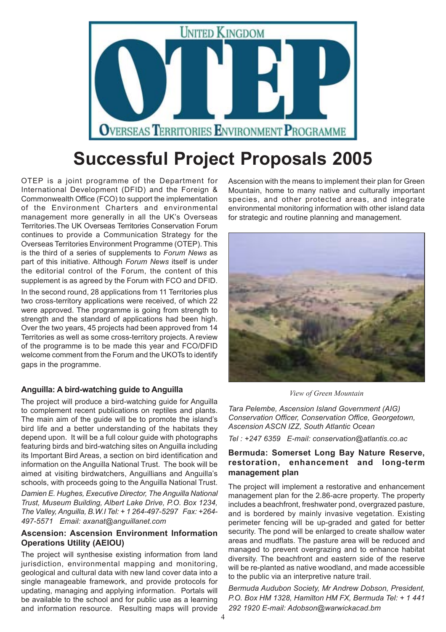

# **Successful Project Proposals 2005**

OTEP is a joint programme of the Department for International Development (DFID) and the Foreign & Commonwealth Office (FCO) to support the implementation of the Environment Charters and environmental management more generally in all the UK's Overseas Territories.The UK Overseas Territories Conservation Forum continues to provide a Communication Strategy for the Overseas Territories Environment Programme (OTEP). This is the third of a series of supplements to *Forum News* as part of this initiative. Although *Forum News* itself is under the editorial control of the Forum, the content of this supplement is as agreed by the Forum with FCO and DFID.

In the second round, 28 applications from 11 Territories plus two cross-territory applications were received, of which 22 were approved. The programme is going from strength to strength and the standard of applications had been high. Over the two years, 45 projects had been approved from 14 Territories as well as some cross-territory projects. A review of the programme is to be made this year and FCO/DFID welcome comment from the Forum and the UKOTs to identify gaps in the programme.

#### **Anguilla: A bird-watching guide to Anguilla**

The project will produce a bird-watching guide for Anguilla to complement recent publications on reptiles and plants. The main aim of the guide will be to promote the island's bird life and a better understanding of the habitats they depend upon. It will be a full colour guide with photographs featuring birds and bird-watching sites on Anguilla including its Important Bird Areas, a section on bird identification and information on the Anguilla National Trust. The book will be aimed at visiting birdwatchers, Anguillians and Anguilla's schools, with proceeds going to the Anguilla National Trust.

*Damien E. Hughes, Executive Director, The Anguilla National Trust, Museum Building, Albert Lake Drive, P.O. Box 1234, The Valley, Anguilla, B.W.I Tel: + 1 264-497-5297 Fax: +264- 497-5571 Email: axanat@anguillanet.com*

#### **Ascension: Ascension Environment Information Operations Utility (AEIOU)**

The project will synthesise existing information from land jurisdiction, environmental mapping and monitoring, geological and cultural data with new land cover data into a single manageable framework, and provide protocols for updating, managing and applying information. Portals will be available to the school and for public use as a learning and information resource. Resulting maps will provide

Ascension with the means to implement their plan for Green Mountain, home to many native and culturally important species, and other protected areas, and integrate environmental monitoring information with other island data for strategic and routine planning and management.



*View of Green Mountain*

*Tara Pelembe, Ascension Island Government (AIG) Conservation Officer, Conservation Office, Georgetown, Ascension ASCN IZZ, South Atlantic Ocean*

*Tel : +247 6359 E-mail: conservation@atlantis.co.ac*

#### **Bermuda: Somerset Long Bay Nature Reserve, restoration, enhancement and long-term management plan**

The project will implement a restorative and enhancement management plan for the 2.86-acre property. The property includes a beachfront, freshwater pond, overgrazed pasture, and is bordered by mainly invasive vegetation. Existing perimeter fencing will be up-graded and gated for better security. The pond will be enlarged to create shallow water areas and mudflats. The pasture area will be reduced and managed to prevent overgrazing and to enhance habitat diversity. The beachfront and eastern side of the reserve will be re-planted as native woodland, and made accessible to the public via an interpretive nature trail.

*Bermuda Audubon Society, Mr Andrew Dobson, President, P.O. Box HM 1328, Hamilton HM FX, Bermuda Tel: + 1 441 292 1920 E-mail: Adobson@warwickacad.bm*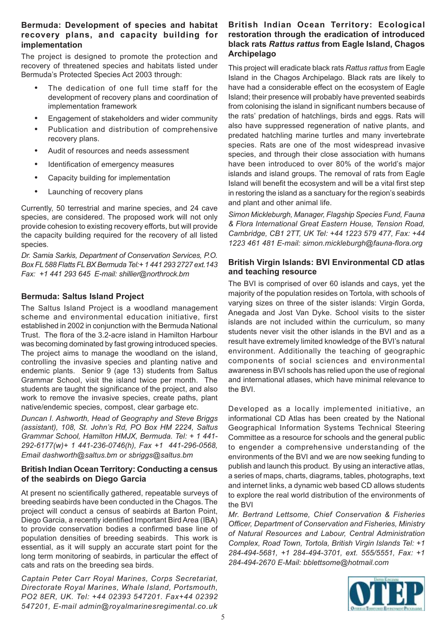#### **Bermuda: Development of species and habitat recovery plans, and capacity building for implementation**

The project is designed to promote the protection and recovery of threatened species and habitats listed under Bermuda's Protected Species Act 2003 through:

- **•** The dedication of one full time staff for the development of recovery plans and coordination of implementation framework
- **•** Engagement of stakeholders and wider community
- **•** Publication and distribution of comprehensive recovery plans.
- **•** Audit of resources and needs assessment
- **•** Identification of emergency measures
- **•** Capacity building for implementation
- **•** Launching of recovery plans

Currently, 50 terrestrial and marine species, and 24 cave species, are considered. The proposed work will not only provide cohesion to existing recovery efforts, but will provide the capacity building required for the recovery of all listed species.

*Dr. Samia Sarkis, Department of Conservation Services, P.O. Box FL 588 Flatts FL BX Bermuda Tel:+ 1 441 293 2727 ext.143 Fax: +1 441 293 645 E-mail: shillier@northrock.bm*

#### **Bermuda: Saltus Island Project**

The Saltus Island Project is a woodland management scheme and environmental education initiative, first established in 2002 in conjunction with the Bermuda National Trust. The flora of the 3.2-acre island in Hamilton Harbour was becoming dominated by fast growing introduced species. The project aims to manage the woodland on the island, controlling the invasive species and planting native and endemic plants. Senior 9 (age 13) students from Saltus Grammar School, visit the island twice per month. The students are taught the significance of the project, and also work to remove the invasive species, create paths, plant native/endemic species, compost, clear garbage etc.

*Duncan I. Ashworth, Head of Geography and Steve Briggs (assistant), 108, St. John's Rd, PO Box HM 2224, Saltus Grammar School, Hamilton HMJX, Bermuda. Tel: + 1 441- 292-6177(w)+ 1 441-236-0746(h), Fax +1 441-296-0568, Email dashworth@saltus.bm or sbriggs@saltus.bm*

#### **British Indian Ocean Territory: Conducting a census of the seabirds on Diego Garcia**

At present no scientifically gathered, repeatable surveys of breeding seabirds have been conducted in the Chagos. The project will conduct a census of seabirds at Barton Point, Diego Garcia, a recently identified Important Bird Area (IBA) to provide conservation bodies a confirmed base line of population densities of breeding seabirds. This work is essential, as it will supply an accurate start point for the long term monitoring of seabirds, in particular the effect of cats and rats on the breeding sea birds.

*Captain Peter Carr Royal Marines, Corps Secretariat, Directorate Royal Marines, Whale Island, Portsmouth, PO2 8ER, UK. Tel: +44 02393 547201. Fax+44 02392 547201, E-mail admin@royalmarinesregimental.co.uk*

#### **British Indian Ocean Territory: Ecological restoration through the eradication of introduced black rats** *Rattus rattus* **from Eagle Island, Chagos Archipelago**

This project will eradicate black rats *Rattus rattus* from Eagle Island in the Chagos Archipelago. Black rats are likely to have had a considerable effect on the ecosystem of Eagle Island; their presence will probably have prevented seabirds from colonising the island in significant numbers because of the rats' predation of hatchlings, birds and eggs. Rats will also have suppressed regeneration of native plants, and predated hatchling marine turtles and many invertebrate species. Rats are one of the most widespread invasive species, and through their close association with humans have been introduced to over 80% of the world's major islands and island groups. The removal of rats from Eagle Island will benefit the ecosystem and will be a vital first step in restoring the island as a sanctuary for the region's seabirds and plant and other animal life.

*Simon Mickleburgh, Manager, Flagship Species Fund, Fauna & Flora International Great Eastern House, Tension Road, Cambridge, CB1 2TT, UK Tel: +44 1223 579 477, Fax: +44 1223 461 481 E-mail: simon.mickleburgh@fauna-flora.org*

#### **British Virgin Islands: BVI Environmental CD atlas and teaching resource**

The BVI is comprised of over 60 islands and cays, yet the majority of the population resides on Tortola, with schools of varying sizes on three of the sister islands: Virgin Gorda, Anegada and Jost Van Dyke. School visits to the sister islands are not included within the curriculum, so many students never visit the other islands in the BVI and as a result have extremely limited knowledge of the BVI's natural environment. Additionally the teaching of geographic components of social sciences and environmental awareness in BVI schools has relied upon the use of regional and international atlases, which have minimal relevance to the BVI.

Developed as a locally implemented initiative, an informational CD Atlas has been created by the National Geographical Information Systems Technical Steering Committee as a resource for schools and the general public to engender a comprehensive understanding of the environments of the BVI and we are now seeking funding to publish and launch this product. By using an interactive atlas, a series of maps, charts, diagrams, tables, photographs, text and internet links, a dynamic web based CD allows students to explore the real world distribution of the environments of the BVI

*Mr. Bertrand Lettsome, Chief Conservation & Fisheries Officer, Department of Conservation and Fisheries, Ministry of Natural Resources and Labour, Central Administration Complex, Road Town, Tortola, British Virgin Islands Tel: +1 284-494-5681, +1 284-494-3701, ext. 555/5551, Fax: +1 284-494-2670 E-Mail: bblettsome@hotmail.com*

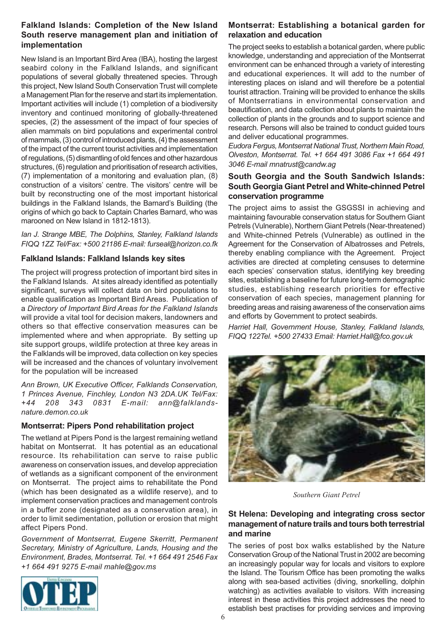#### **Falkland Islands: Completion of the New Island South reserve management plan and initiation of implementation**

New Island is an Important Bird Area (IBA), hosting the largest seabird colony in the Falkland Islands, and significant populations of several globally threatened species. Through this project, New Island South Conservation Trust will complete a Management Plan for the reserve and start its implementation. Important activities will include (1) completion of a biodiversity inventory and continued monitoring of globally-threatened species, (2) the assessment of the impact of four species of alien mammals on bird populations and experimental control of mammals, (3) control of introduced plants, (4) the assessment of the impact of the current tourist activities and implementation of regulations, (5) dismantling of old fences and other hazardous structures, (6) regulation and prioritisation of research activities, (7) implementation of a monitoring and evaluation plan, (8) construction of a visitors' centre. The visitors' centre will be built by reconstructing one of the most important historical buildings in the Falkland Islands, the Barnard's Building (the origins of which go back to Captain Charles Barnard, who was marooned on New Island in 1812-1813).

*Ian J. Strange MBE, The Dolphins, Stanley, Falkland Islands FIQQ 1ZZ Tel/Fax: +500 21186 E-mail: furseal@horizon.co.fk*

#### **Falkland Islands: Falkland Islands key sites**

The project will progress protection of important bird sites in the Falkland Islands. At sites already identified as potentially significant, surveys will collect data on bird populations to enable qualification as Important Bird Areas. Publication of a *Directory of Important Bird Areas for the Falkland Islands* will provide a vital tool for decision makers, landowners and others so that effective conservation measures can be implemented where and when appropriate. By setting up site support groups, wildlife protection at three key areas in the Falklands will be improved, data collection on key species will be increased and the chances of voluntary involvement for the population will be increased

*Ann Brown, UK Executive Officer, Falklands Conservation, 1 Princes Avenue, Finchley, London N3 2DA.UK Tel/Fax: +44 208 343 0831 E-mail: ann@falklandsnature.demon.co.uk*

### **Montserrat: Pipers Pond rehabilitation project**

The wetland at Pipers Pond is the largest remaining wetland habitat on Montserrat. It has potential as an educational resource. Its rehabilitation can serve to raise public awareness on conservation issues, and develop appreciation of wetlands as a significant component of the environment on Montserrat. The project aims to rehabilitate the Pond (which has been designated as a wildlife reserve), and to implement conservation practices and management controls in a buffer zone (designated as a conservation area), in order to limit sedimentation, pollution or erosion that might affect Pipers Pond.

*Government of Montserrat, Eugene Skerritt, Permanent Secretary, Ministry of Agriculture, Lands, Housing and the Environment, Brades, Montserrat. Tel. +1 664 491 2546 Fax +1 664 491 9275 E-mail mahle@gov.ms*



#### **Montserrat: Establishing a botanical garden for relaxation and education**

The project seeks to establish a botanical garden, where public knowledge, understanding and appreciation of the Montserrat environment can be enhanced through a variety of interesting and educational experiences. It will add to the number of interesting places on island and will therefore be a potential tourist attraction. Training will be provided to enhance the skills of Montserratians in environmental conservation and beautification, and data collection about plants to maintain the collection of plants in the grounds and to support science and research. Persons will also be trained to conduct guided tours and deliver educational programmes.

*Eudora Fergus, Montserrat National Trust, Northern Main Road, Olveston, Montserrat. Tel. +1 664 491 3086 Fax +1 664 491 3046 E-mail mnatrust@candw.ag*

#### **South Georgia and the South Sandwich Islands: South Georgia Giant Petrel and White-chinned Petrel conservation programme**

The project aims to assist the GSGSSI in achieving and maintaining favourable conservation status for Southern Giant Petrels (Vulnerable), Northern Giant Petrels (Near-threatened) and White-chinned Petrels (Vulnerable) as outlined in the Agreement for the Conservation of Albatrosses and Petrels, thereby enabling compliance with the Agreement. Project activities are directed at completing censuses to determine each species' conservation status, identifying key breeding sites, establishing a baseline for future long-term demographic studies, establishing research priorities for effective conservation of each species, management planning for breeding areas and raising awareness of the conservation aims and efforts by Government to protect seabirds.

*Harriet Hall, Government House, Stanley, Falkland Islands, FIQQ 122Tel. +500 27433 Email: Harriet.Hall@fco.gov.uk*



*Southern Giant Petrel*

#### **St Helena: Developing and integrating cross sector management of nature trails and tours both terrestrial and marine**

The series of post box walks established by the Nature Conservation Group of the National Trust in 2002 are becoming an increasingly popular way for locals and visitors to explore the Island. The Tourism Office has been promoting the walks along with sea-based activities (diving, snorkelling, dolphin watching) as activities available to visitors. With increasing interest in these activities this project addresses the need to establish best practises for providing services and improving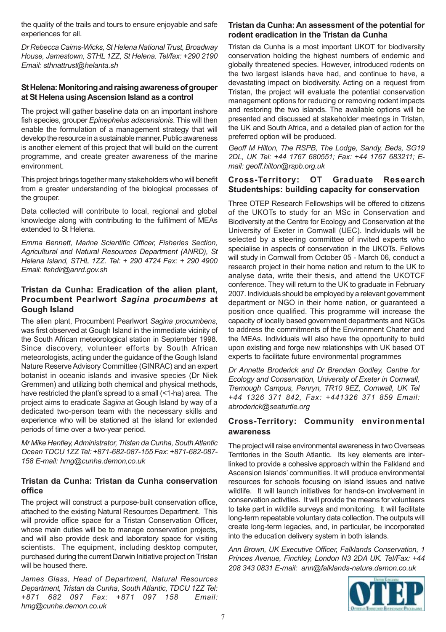the quality of the trails and tours to ensure enjoyable and safe experiences for all.

*Dr Rebecca Cairns-Wicks, St Helena National Trust, Broadway House, Jamestown, STHL 1ZZ, St Helena. Tel/fax: +290 2190 Email: sthnattrust@helanta.sh*

#### **St Helena: Monitoring and raising awareness of grouper at St Helena using Ascension Island as a control**

The project will gather baseline data on an important inshore fish species, grouper *Epinephelus adscensionis*. This will then enable the formulation of a management strategy that will develop the resource in a sustainable manner. Public awareness is another element of this project that will build on the current programme, and create greater awareness of the marine environment.

This project brings together many stakeholders who will benefit from a greater understanding of the biological processes of the grouper.

Data collected will contribute to local, regional and global knowledge along with contributing to the fulfilment of MEAs extended to St Helena.

*Emma Bennett, Marine Scientific Officer, Fisheries Section, Agricultural and Natural Resources Department (ANRD), St Helena Island, STHL 1ZZ. Tel: + 290 4724 Fax: + 290 4900 Email: fishdir@anrd.gov.sh*

#### **Tristan da Cunha: Eradication of the alien plant, Procumbent Pearlwort** *Sagina procumbens* **at Gough Island**

The alien plant, Procumbent Pearlwort *Sagina procumbens*, was first observed at Gough Island in the immediate vicinity of the South African meteorological station in September 1998. Since discovery, volunteer efforts by South African meteorologists, acting under the guidance of the Gough Island Nature Reserve Advisory Committee (GINRAC) and an expert botanist in oceanic islands and invasive species (Dr Niek Gremmen) and utilizing both chemical and physical methods, have restricted the plant's spread to a small (<1-ha) area. The project aims to eradicate *Sagina* at Gough Island by way of a dedicated two-person team with the necessary skills and experience who will be stationed at the island for extended periods of time over a two-year period.

*Mr Mike Hentley, Administrator, Tristan da Cunha, South Atlantic Ocean TDCU 1ZZ Tel: +871-682-087-155 Fax: +871-682-087- 158 E-mail: hmg@cunha.demon,co.uk*

#### **Tristan da Cunha: Tristan da Cunha conservation office**

The project will construct a purpose-built conservation office, attached to the existing Natural Resources Department. This will provide office space for a Tristan Conservation Officer, whose main duties will be to manage conservation projects, and will also provide desk and laboratory space for visiting scientists. The equipment, including desktop computer, purchased during the current Darwin Initiative project on Tristan will be housed there.

*James Glass, Head of Department, Natural Resources Department, Tristan da Cunha, South Atlantic, TDCU 1ZZ Tel: +871 682 097 Fax: +871 097 158 Email: hmg@cunha.demon.co.uk*

#### **Tristan da Cunha: An assessment of the potential for rodent eradication in the Tristan da Cunha**

Tristan da Cunha is a most important UKOT for biodiversity conservation holding the highest numbers of endemic and globally threatened species. However, introduced rodents on the two largest islands have had, and continue to have, a devastating impact on biodiversity. Acting on a request from Tristan, the project will evaluate the potential conservation management options for reducing or removing rodent impacts and restoring the two islands. The available options will be presented and discussed at stakeholder meetings in Tristan, the UK and South Africa, and a detailed plan of action for the preferred option will be produced.

*Geoff M Hilton, The RSPB, The Lodge, Sandy, Beds, SG19 2DL, UK Tel: +44 1767 680551; Fax: +44 1767 683211; Email: geoff.hilton@rspb.org.uk*

#### **Cross-Territory: OT Graduate Research Studentships: building capacity for conservation**

Three OTEP Research Fellowships will be offered to citizens of the UKOTs to study for an MSc in Conservation and Biodiversity at the Centre for Ecology and Conservation at the University of Exeter in Cornwall (UEC). Individuals will be selected by a steering committee of invited experts who specialise in aspects of conservation in the UKOTs. Fellows will study in Cornwall from October 05 - March 06, conduct a research project in their home nation and return to the UK to analyse data, write their thesis, and attend the UKOTCF conference. They will return to the UK to graduate in February 2007. Individuals should be employed by a relevant government department or NGO in their home nation, or guaranteed a position once qualified. This programme will increase the capacity of locally based government departments and NGOs to address the commitments of the Environment Charter and the MEAs. Individuals will also have the opportunity to build upon existing and forge new relationships with UK based OT experts to facilitate future environmental programmes

*Dr Annette Broderick and Dr Brendan Godley, Centre for Ecology and Conservation, University of Exeter in Cornwall, Tremough Campus, Penryn, TR10 9EZ, Cornwall, UK Tel +44 1326 371 842, Fax: +441326 371 859 Email: abroderick@seaturtle.org*

#### **Cross-Territory: Community environmental awareness**

The project will raise environmental awareness in two Overseas Territories in the South Atlantic. Its key elements are interlinked to provide a cohesive approach within the Falkland and Ascension Islands' communities. It will produce environmental resources for schools focusing on island issues and native wildlife. It will launch initiatives for hands-on involvement in conservation activities. It will provide the means for volunteers to take part in wildlife surveys and monitoring. It will facilitate long-term repeatable voluntary data collection. The outputs will create long-term legacies, and, in particular, be incorporated into the education delivery system in both islands.

*Ann Brown, UK Executive Officer, Falklands Conservation, 1 Princes Avenue, Finchley, London N3 2DA UK. Tel/Fax: +44 208 343 0831 E-mail: ann@falklands-nature.demon.co.uk*

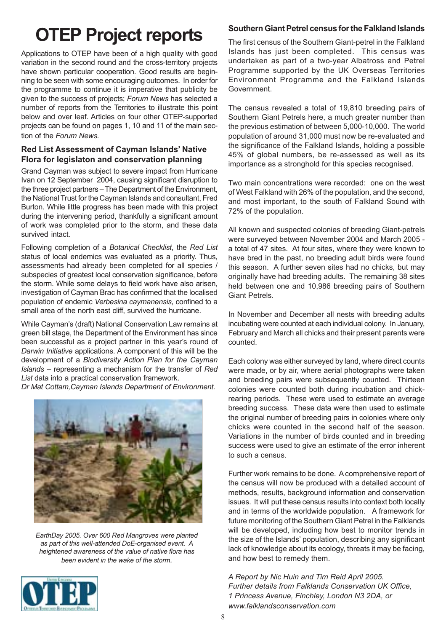# **OTEP Project reports** Southern Giant Petrel census for the Falkland Islands

Applications to OTEP have been of a high quality with good variation in the second round and the cross-territory projects have shown particular cooperation. Good results are beginning to be seen with some encouraging outcomes. In order for the programme to continue it is imperative that publicity be given to the success of projects; *Forum News* has selected a number of reports from the Territories to illustrate this point below and over leaf. Articles on four other OTEP-supported projects can be found on pages 1, 10 and 11 of the main section of the *Forum News.*

#### **Red List Assessment of Cayman Islands' Native Flora for legislaton and conservation planning**

Grand Cayman was subject to severe impact from Hurricane Ivan on 12 September 2004, causing significant disruption to the three project partners – The Department of the Environment, the National Trust for the Cayman Islands and consultant, Fred Burton. While little progress has been made with this project during the intervening period, thankfully a significant amount of work was completed prior to the storm, and these data survived intact.

Following completion of a *Botanical Checklist*, the *Red List* status of local endemics was evaluated as a priority. Thus, assessments had already been completed for all species / subspecies of greatest local conservation significance, before the storm. While some delays to field work have also arisen, investigation of Cayman Brac has confirmed that the localised population of endemic *Verbesina caymanensis*, confined to a small area of the north east cliff, survived the hurricane.

While Cayman's (draft) National Conservation Law remains at green bill stage, the Department of the Environment has since been successful as a project partner in this year's round of *Darwin Initiative* applications. A component of this will be the development of a *Biodiversity Action Plan for the Cayman Islands* – representing a mechanism for the transfer of *Red List* data into a practical conservation framework.

*Dr Mat Cottam,Cayman Islands Department of Environment.*



*EarthDay 2005. Over 600 Red Mangroves were planted as part of this well-attended DoE-organised event. A heightened awareness of the value of native flora has been evident in the wake of the storm.*

The first census of the Southern Giant-petrel in the Falkland Islands has just been completed. This census was undertaken as part of a two-year Albatross and Petrel Programme supported by the UK Overseas Territories Environment Programme and the Falkland Islands Government.

The census revealed a total of 19,810 breeding pairs of Southern Giant Petrels here, a much greater number than the previous estimation of between 5,000-10,000. The world population of around 31,000 must now be re-evaluated and the significance of the Falkland Islands, holding a possible 45% of global numbers, be re-assessed as well as its importance as a stronghold for this species recognised.

Two main concentrations were recorded: one on the west of West Falkland with 26% of the population, and the second, and most important, to the south of Falkland Sound with 72% of the population.

All known and suspected colonies of breeding Giant-petrels were surveyed between November 2004 and March 2005 a total of 47 sites. At four sites, where they were known to have bred in the past, no breeding adult birds were found this season. A further seven sites had no chicks, but may originally have had breeding adults. The remaining 38 sites held between one and 10,986 breeding pairs of Southern Giant Petrels.

In November and December all nests with breeding adults incubating were counted at each individual colony. In January, February and March all chicks and their present parents were counted.

Each colony was either surveyed by land, where direct counts were made, or by air, where aerial photographs were taken and breeding pairs were subsequently counted. Thirteen colonies were counted both during incubation and chickrearing periods. These were used to estimate an average breeding success. These data were then used to estimate the original number of breeding pairs in colonies where only chicks were counted in the second half of the season. Variations in the number of birds counted and in breeding success were used to give an estimate of the error inherent to such a census.

Further work remains to be done. A comprehensive report of the census will now be produced with a detailed account of methods, results, background information and conservation issues. It will put these census results into context both locally and in terms of the worldwide population. A framework for future monitoring of the Southern Giant Petrel in the Falklands will be developed, including how best to monitor trends in the size of the Islands' population, describing any significant lack of knowledge about its ecology, threats it may be facing, and how best to remedy them.

*A Report by Nic Huin and Tim Reid April 2005. Further details from Falklands Conservation UK Office, 1 Princess Avenue, Finchley, London N3 2DA, or www.falklandsconservation.com*

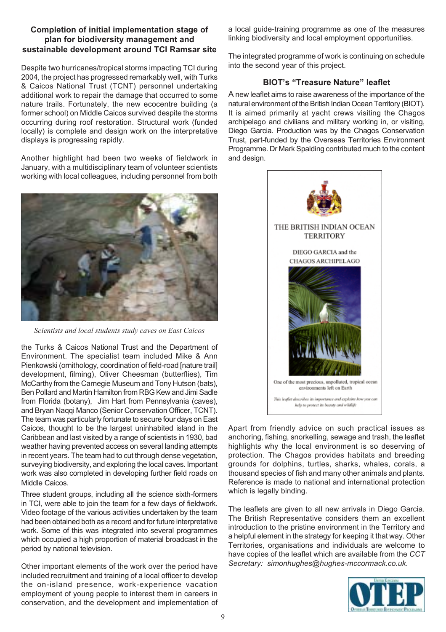#### **Completion of initial implementation stage of plan for biodiversity management and sustainable development around TCI Ramsar site**

Despite two hurricanes/tropical storms impacting TCI during 2004, the project has progressed remarkably well, with Turks & Caicos National Trust (TCNT) personnel undertaking additional work to repair the damage that occurred to some nature trails. Fortunately, the new ecocentre building (a former school) on Middle Caicos survived despite the storms occurring during roof restoration. Structural work (funded locally) is complete and design work on the interpretative displays is progressing rapidly.

Another highlight had been two weeks of fieldwork in January, with a multidisciplinary team of volunteer scientists working with local colleagues, including personnel from both



*Scientists and local students study caves on East Caicos*

the Turks & Caicos National Trust and the Department of Environment. The specialist team included Mike & Ann Pienkowski (ornithology, coordination of field-road [nature trail] development, filming), Oliver Cheesman (butterflies), Tim McCarthy from the Carnegie Museum and Tony Hutson (bats), Ben Pollard and Martin Hamilton from RBG Kew and Jimi Sadle from Florida (botany), Jim Hart from Pennsylvania (caves), and Bryan Naqqi Manco (Senior Conservation Officer, TCNT). The team was particularly fortunate to secure four days on East Caicos, thought to be the largest uninhabited island in the Caribbean and last visited by a range of scientists in 1930, bad weather having prevented access on several landing attempts in recent years. The team had to cut through dense vegetation, surveying biodiversity, and exploring the local caves. Important work was also completed in developing further field roads on Middle Caicos.

Three student groups, including all the science sixth-formers in TCI, were able to join the team for a few days of fieldwork. Video footage of the various activities undertaken by the team had been obtained both as a record and for future interpretative work. Some of this was integrated into several programmes which occupied a high proportion of material broadcast in the period by national television.

Other important elements of the work over the period have included recruitment and training of a local officer to develop the on-island presence, work-experience vacation employment of young people to interest them in careers in conservation, and the development and implementation of

a local guide-training programme as one of the measures linking biodiversity and local employment opportunities.

The integrated programme of work is continuing on schedule into the second year of this project.

#### **BIOT's "Treasure Nature" leaflet**

A new leaflet aims to raise awareness of the importance of the natural environment of the British Indian Ocean Territory (BIOT). It is aimed primarily at yacht crews visiting the Chagos archipelago and civilians and military working in, or visiting, Diego Garcia. Production was by the Chagos Conservation Trust, part-funded by the Overseas Territories Environment Programme. Dr Mark Spalding contributed much to the content and design.



Apart from friendly advice on such practical issues as anchoring, fishing, snorkelling, sewage and trash, the leaflet highlights why the local environment is so deserving of protection. The Chagos provides habitats and breeding grounds for dolphins, turtles, sharks, whales, corals, a thousand species of fish and many other animals and plants. Reference is made to national and international protection which is legally binding.

The leaflets are given to all new arrivals in Diego Garcia. The British Representative considers them an excellent introduction to the pristine environment in the Territory and a helpful element in the strategy for keeping it that way. Other Territories, organisations and individuals are welcome to have copies of the leaflet which are available from the *CCT Secretary: simonhughes@hughes-mccormack.co.uk*.

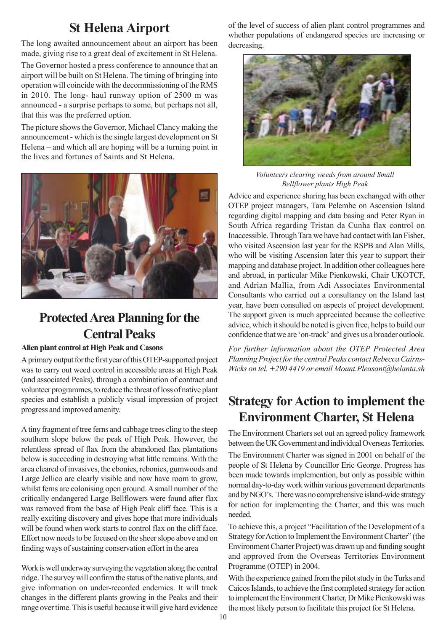### **St Helena Airport**

The long awaited announcement about an airport has been made, giving rise to a great deal of excitement in St Helena.

The Governor hosted a press conference to announce that an airport will be built on St Helena. The timing of bringing into operation will coincide with the decommissioning of the RMS in 2010. The long- haul runway option of 2500 m was announced - a surprise perhaps to some, but perhaps not all, that this was the preferred option.

The picture shows the Governor, Michael Clancy making the announcement - which is the single largest development on St Helena – and which all are hoping will be a turning point in the lives and fortunes of Saints and St Helena.



### **Protected Area Planning for the Central Peaks**

#### **Alien plant control at High Peak and Casons**

A primary output for the first year of this OTEP-supported project was to carry out weed control in accessible areas at High Peak (and associated Peaks), through a combination of contract and volunteer programmes, to reduce the threat of loss of native plant species and establish a publicly visual impression of project progress and improved amenity.

A tiny fragment of tree ferns and cabbage trees cling to the steep southern slope below the peak of High Peak. However, the relentless spread of flax from the abandoned flax plantations below is succeeding in destroying what little remains. With the area cleared of invasives, the ebonies, rebonies, gumwoods and Large Jellico are clearly visible and now have room to grow, whilst ferns are colonising open ground. A small number of the critically endangered Large Bellflowers were found after flax was removed from the base of High Peak cliff face. This is a really exciting discovery and gives hope that more individuals will be found when work starts to control flax on the cliff face*.* Effort now needs to be focused on the sheer slope above and on finding ways of sustaining conservation effort in the area

Work is well underway surveying the vegetation along the central ridge. The survey will confirm the status of the native plants, and give information on under-recorded endemics. It will track changes in the different plants growing in the Peaks and their range over time. This is useful because it will give hard evidence

of the level of success of alien plant control programmes and whether populations of endangered species are increasing or decreasing.



*Volunteers clearing weeds from around Small Bellflower plants High Peak*

Advice and experience sharing has been exchanged with other OTEP project managers, Tara Pelembe on Ascension Island regarding digital mapping and data basing and Peter Ryan in South Africa regarding Tristan da Cunha flax control on Inaccessible. Through Tara we have had contact with Ian Fisher, who visited Ascension last year for the RSPB and Alan Mills, who will be visiting Ascension later this year to support their mapping and database project. In addition other colleagues here and abroad, in particular Mike Pienkowski, Chair UKOTCF, and Adrian Mallia, from Adi Associates Environmental Consultants who carried out a consultancy on the Island last year, have been consulted on aspects of project development. The support given is much appreciated because the collective advice, which it should be noted is given free, helps to build our confidence that we are 'on-track' and gives us a broader outlook.

*For further information about the OTEP Protected Area Planning Project for the central Peaks contact Rebecca Cairns-Wicks on tel. +290 4419 or email Mount.Pleasant@helanta.sh*

### **Strategy for Action to implement the Environment Charter, St Helena**

The Environment Charters set out an agreed policy framework between the UK Government and individual Overseas Territories.

The Environment Charter was signed in 2001 on behalf of the people of St Helena by Councillor Eric George. Progress has been made towards implemention, but only as possible within normal day-to-day work within various government departments and by NGO's. There was no comprehensive island-wide strategy for action for implementing the Charter, and this was much needed.

To achieve this, a project "Facilitation of the Development of a Strategy for Action to Implement the Environment Charter" (the Environment Charter Project) was drawn up and funding sought and approved from the Overseas Territories Environment Programme (OTEP) in 2004.

With the experience gained from the pilot study in the Turks and Caicos Islands, to achieve the first completed strategy for action to implement the Environment Charter, Dr Mike Pienkowski was the most likely person to facilitate this project for St Helena.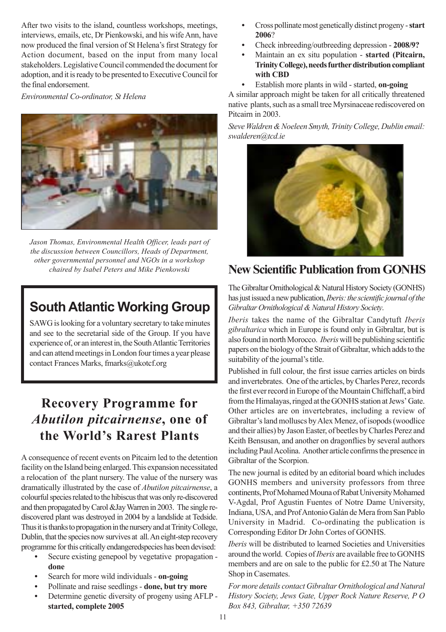After two visits to the island, countless workshops, meetings, interviews, emails, etc, Dr Pienkowski, and his wife Ann, have now produced the final version of St Helena's first Strategy for Action document, based on the input from many local stakeholders. Legislative Council commended the document for adoption, and it is ready to be presented to Executive Council for the final endorsement.

*Environmental Co-ordinator, St Helena*



*Jason Thomas, Environmental Health Officer, leads part of the discussion between Councillors, Heads of Department, other governmental personnel and NGOs in a workshop chaired by Isabel Peters and Mike Pienkowski*

### **South Atlantic Working Group**

SAWG is looking for a voluntary secretary to take minutes and see to the secretarial side of the Group. If you have experience of, or an interest in, the South Atlantic Territories and can attend meetings in London four times a year please contact Frances Marks, fmarks@ukotcf.org

### **Recovery Programme for** *Abutilon pitcairnense***, one of the World's Rarest Plants**

A consequence of recent events on Pitcairn led to the detention facility on the Island being enlarged. This expansion necessitated a relocation of the plant nursery. The value of the nursery was dramatically illustrated by the case of *Abutilon pitcairnense*, a colourful species related to the hibiscus that was only re-discovered and then propagated by Carol &Jay Warren in 2003. The single rediscovered plant was destroyed in 2004 by a landslide at Tedside. Thus it is thanks to propagation in the nursery and at Trinity College, Dublin, that the species now survives at all. An eight-step recovery programme for this critically endangeredspecies has been devised:

- **•** Secure existing genepool by vegetative propagation **done**
- **•** Search for more wild individuals **on-going**
- **•** Pollinate and raise seedlings **done, but try more**
- **•** Determine genetic diversity of progeny using AFLP **started, complete 2005**
- **•** Cross pollinate most genetically distinct progeny **start 2006**?
- **•** Check inbreeding/outbreeding depression **2008/9?**
- **•** Maintain an ex situ population **started (Pitcairn, Trinity College), needs further distribution compliant with CBD**
- **•** Establish more plants in wild started, **on-going**

A similar approach might be taken for all critically threatened native plants, such as a small tree Myrsinaceae rediscovered on Pitcairn in 2003.

*Steve Waldren & Noeleen Smyth, Trinity College, Dublin email: swalderen@tcd.ie*



### **New Scientific Publication from GONHS**

The Gibraltar Ornithological & Natural History Society (GONHS) has just issued a new publication, *Iberis: the scientific journal of the Gibraltar Ornithological & Natural History Society*.

*Iberis* takes the name of the Gibraltar Candytuft *Iberis gibraltarica* which in Europe is found only in Gibraltar, but is also found in north Morocco. *Iberis* will be publishing scientific papers on the biology of the Strait of Gibraltar, which adds to the suitability of the journal's title.

Published in full colour, the first issue carries articles on birds and invertebrates. One of the articles, by Charles Perez, records the first ever record in Europe of the Mountain Chiffchaff, a bird from the Himalayas, ringed at the GONHS station at Jews' Gate. Other articles are on invertebrates, including a review of Gibraltar's land molluscs by Alex Menez, of isopods (woodlice and their allies) by Jason Easter, of beetles by Charles Perez and Keith Bensusan, and another on dragonflies by several authors including Paul Acolina. Another article confirms the presence in Gibraltar of the Scorpion.

The new journal is edited by an editorial board which includes GONHS members and university professors from three continents, Prof Mohamed Mouna of Rabat University Mohamed V-Agdal, Prof Agustin Fuentes of Notre Dame University, Indiana, USA, and Prof Antonio Galán de Mera from San Pablo University in Madrid. Co-ordinating the publication is Corresponding Editor Dr John Cortes of GONHS.

*Iberis* will be distributed to learned Societies and Universities around the world. Copies of *Iberis* are available free to GONHS members and are on sale to the public for £2.50 at The Nature Shop in Casemates.

*For more details contact Gibraltar Ornithological and Natural History Society, Jews Gate, Upper Rock Nature Reserve, P O Box 843, Gibraltar, +350 72639*